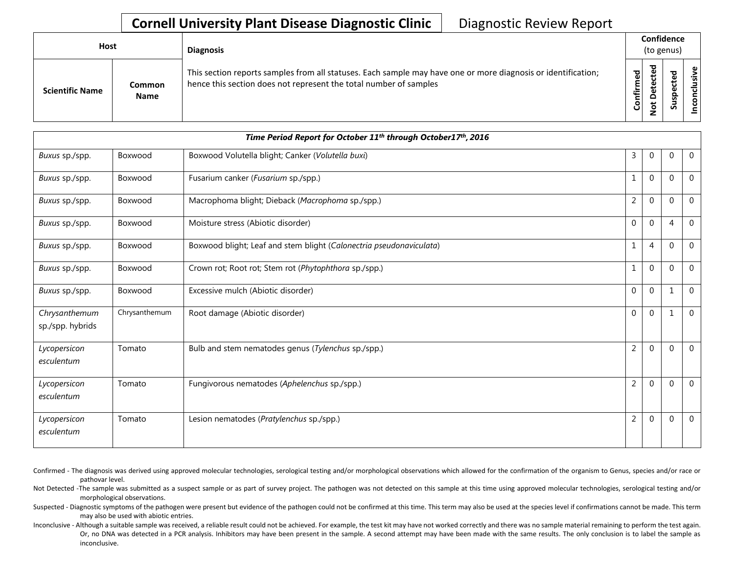## **Cornell University Plant Disease Diagnostic Clinic** | Diagnostic Review Report

| <b>Host</b>            |                       | <b>Diagnosis</b>                                                                                                                                                                   |                    | Confidence<br>(to genus)             |                                      |            |  |  |
|------------------------|-----------------------|------------------------------------------------------------------------------------------------------------------------------------------------------------------------------------|--------------------|--------------------------------------|--------------------------------------|------------|--|--|
| <b>Scientific Name</b> | Common<br><b>Name</b> | This section reports samples from all statuses. Each sample may have one or more diagnosis or identification;<br>hence this section does not represent the total number of samples | යි<br>ග<br>Confirm | ъ<br>ຼື<br>$\Omega$<br>$\rightarrow$ | ᇃ<br>Φ<br>≖<br>o<br>௨<br>s<br>Б<br>n | usive<br>۰ |  |  |

| Time Period Report for October 11 <sup>th</sup> through October17 <sup>th</sup> , 2016 |               |                                                                     |                |                |                |                |  |
|----------------------------------------------------------------------------------------|---------------|---------------------------------------------------------------------|----------------|----------------|----------------|----------------|--|
| Buxus sp./spp.                                                                         | Boxwood       | Boxwood Volutella blight; Canker (Volutella buxi)                   | 3              | $\mathbf{0}$   | $\Omega$       | $\overline{0}$ |  |
| Buxus sp./spp.                                                                         | Boxwood       | Fusarium canker (Fusarium sp./spp.)                                 | 1              | $\Omega$       | $\Omega$       | $\mathbf{0}$   |  |
| Buxus sp./spp.                                                                         | Boxwood       | Macrophoma blight; Dieback (Macrophoma sp./spp.)                    | $\overline{2}$ | $\Omega$       | $\Omega$       | $\overline{0}$ |  |
| Buxus sp./spp.                                                                         | Boxwood       | Moisture stress (Abiotic disorder)                                  | $\mathbf 0$    | $\mathbf 0$    | $\overline{4}$ | $\mathbf 0$    |  |
| Buxus sp./spp.                                                                         | Boxwood       | Boxwood blight; Leaf and stem blight (Calonectria pseudonaviculata) | 1              | $\overline{4}$ | $\Omega$       | $\mathbf{0}$   |  |
| Buxus sp./spp.                                                                         | Boxwood       | Crown rot; Root rot; Stem rot (Phytophthora sp./spp.)               | $\mathbf{1}$   | $\Omega$       | $\Omega$       | $\overline{0}$ |  |
| Buxus sp./spp.                                                                         | Boxwood       | Excessive mulch (Abiotic disorder)                                  | $\mathbf{0}$   | $\mathbf{0}$   | $\mathbf{1}$   | $\overline{0}$ |  |
| Chrysanthemum<br>sp./spp. hybrids                                                      | Chrysanthemum | Root damage (Abiotic disorder)                                      | $\Omega$       | $\Omega$       |                | $\Omega$       |  |
| Lycopersicon<br>esculentum                                                             | Tomato        | Bulb and stem nematodes genus (Tylenchus sp./spp.)                  | $\overline{2}$ | $\mathbf{0}$   | $\Omega$       | $\overline{0}$ |  |
| Lycopersicon<br>esculentum                                                             | Tomato        | Fungivorous nematodes (Aphelenchus sp./spp.)                        | $\overline{2}$ | $\mathbf 0$    | $\Omega$       | $\overline{0}$ |  |
| Lycopersicon<br>esculentum                                                             | Tomato        | Lesion nematodes (Pratylenchus sp./spp.)                            | $\overline{2}$ | $\Omega$       | $\Omega$       | $\overline{0}$ |  |

- Confirmed The diagnosis was derived using approved molecular technologies, serological testing and/or morphological observations which allowed for the confirmation of the organism to Genus, species and/or race or pathovar level.
- Not Detected -The sample was submitted as a suspect sample or as part of survey project. The pathogen was not detected on this sample at this time using approved molecular technologies, serological testing and/or morphological observations.
- Suspected Diagnostic symptoms of the pathogen were present but evidence of the pathogen could not be confirmed at this time. This term may also be used at the species level if confirmations cannot be made. This term may also be used with abiotic entries.
- Inconclusive Although a suitable sample was received, a reliable result could not be achieved. For example, the test kit may have not worked correctly and there was no sample material remaining to perform the test again. Or, no DNA was detected in a PCR analysis. Inhibitors may have been present in the sample. A second attempt may have been made with the same results. The only conclusion is to label the sample as inconclusive.